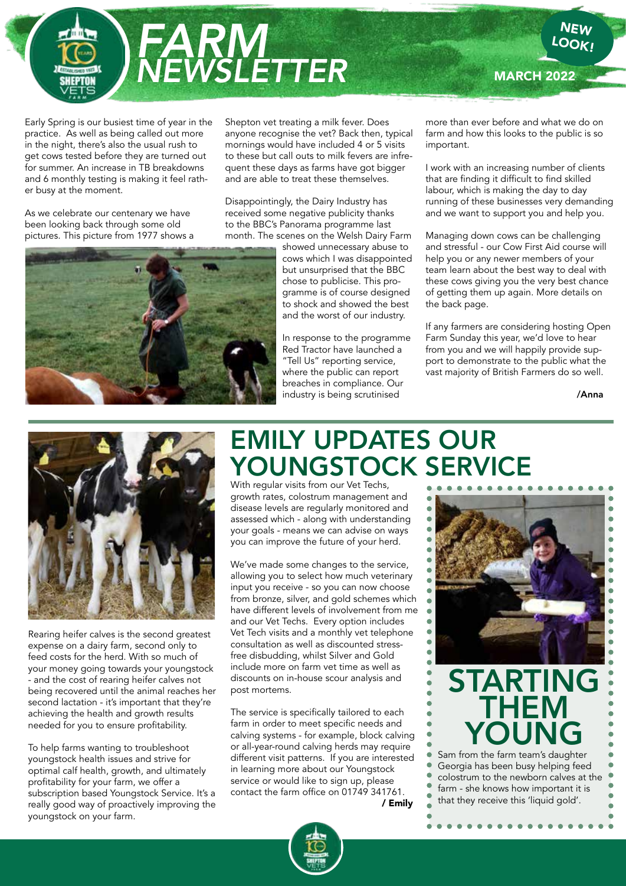

Early Spring is our busiest time of year in the practice. As well as being called out more in the night, there's also the usual rush to get cows tested before they are turned out for summer. An increase in TB breakdowns and 6 monthly testing is making it feel rather busy at the moment.

As we celebrate our centenary we have been looking back through some old pictures. This picture from 1977 shows a Shepton vet treating a milk fever. Does anyone recognise the vet? Back then, typical mornings would have included 4 or 5 visits to these but call outs to milk fevers are infrequent these days as farms have got bigger and are able to treat these themselves.

Disappointingly, the Dairy Industry has received some negative publicity thanks to the BBC's Panorama programme last month. The scenes on the Welsh Dairy Farm

> showed unnecessary abuse to cows which I was disappointed but unsurprised that the BBC chose to publicise. This programme is of course designed to shock and showed the best and the worst of our industry.

In response to the programme Red Tractor have launched a "Tell Us" reporting service, where the public can report breaches in compliance. Our industry is being scrutinised

more than ever before and what we do on farm and how this looks to the public is so important.

**MARCH 2022** 

I work with an increasing number of clients that are finding it difficult to find skilled labour, which is making the day to day running of these businesses very demanding and we want to support you and help you.

Managing down cows can be challenging and stressful - our Cow First Aid course will help you or any newer members of your team learn about the best way to deal with these cows giving you the very best chance of getting them up again. More details on the back page.

If any farmers are considering hosting Open Farm Sunday this year, we'd love to hear from you and we will happily provide support to demonstrate to the public what the vast majority of British Farmers do so well.

/Anna



Rearing heifer calves is the second greatest expense on a dairy farm, second only to feed costs for the herd. With so much of your money going towards your youngstock - and the cost of rearing heifer calves not being recovered until the animal reaches her second lactation - it's important that they're achieving the health and growth results needed for you to ensure profitability.

To help farms wanting to troubleshoot youngstock health issues and strive for optimal calf health, growth, and ultimately profitability for your farm, we offer a subscription based Youngstock Service. It's a really good way of proactively improving the youngstock on your farm.

## EMILY UPDATES OUR YOUNGSTOCK SERVICE

With regular visits from our Vet Techs, growth rates, colostrum management and disease levels are regularly monitored and assessed which - along with understanding your goals - means we can advise on ways you can improve the future of your herd.

We've made some changes to the service, allowing you to select how much veterinary input you receive - so you can now choose from bronze, silver, and gold schemes which have different levels of involvement from me and our Vet Techs. Every option includes Vet Tech visits and a monthly vet telephone consultation as well as discounted stressfree disbudding, whilst Silver and Gold include more on farm vet time as well as discounts on in-house scour analysis and post mortems.

The service is specifically tailored to each farm in order to meet specific needs and calving systems - for example, block calving or all-year-round calving herds may require different visit patterns. If you are interested in learning more about our Youngstock service or would like to sign up, please contact the farm office on 01749 341761. / Emily



*<u><u>AAAAAAAAA</u>***</u>** 

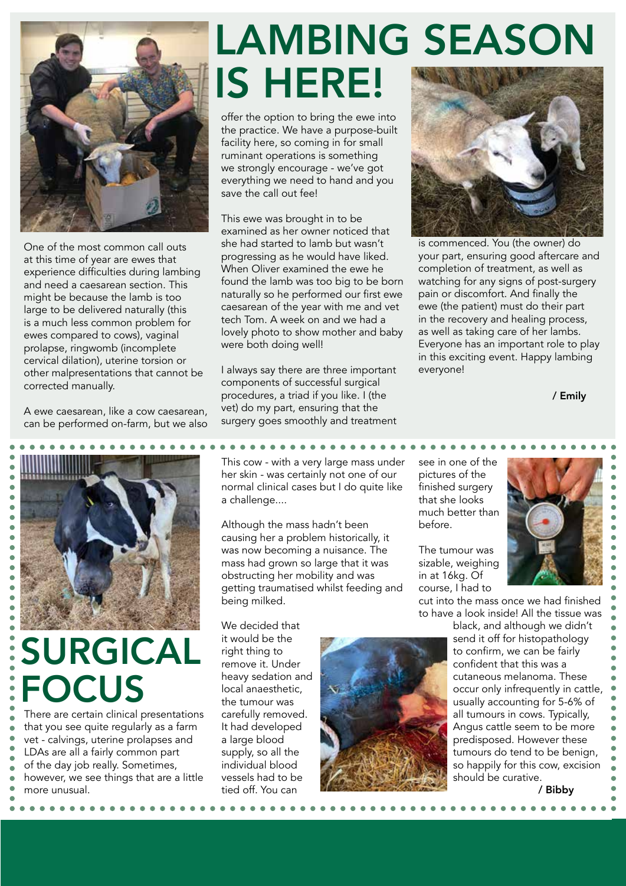

One of the most common call outs at this time of year are ewes that experience difficulties during lambing and need a caesarean section. This might be because the lamb is too large to be delivered naturally (this is a much less common problem for ewes compared to cows), vaginal prolapse, ringwomb (incomplete cervical dilation), uterine torsion or other malpresentations that cannot be corrected manually.

A ewe caesarean, like a cow caesarean, can be performed on-farm, but we also



## SURGICAL **FOCUS**

There are certain clinical presentations that you see quite regularly as a farm vet - calvings, uterine prolapses and LDAs are all a fairly common part of the day job really. Sometimes, however, we see things that are a little more unusual.

# LAMBING SEASON IS HERE!

offer the option to bring the ewe into the practice. We have a purpose-built facility here, so coming in for small ruminant operations is something we strongly encourage - we've got everything we need to hand and you save the call out fee!

This ewe was brought in to be examined as her owner noticed that she had started to lamb but wasn't progressing as he would have liked. When Oliver examined the ewe he found the lamb was too big to be born naturally so he performed our first ewe caesarean of the year with me and vet tech Tom. A week on and we had a lovely photo to show mother and baby were both doing well!

I always say there are three important components of successful surgical procedures, a triad if you like. I (the vet) do my part, ensuring that the surgery goes smoothly and treatment

This cow - with a very large mass under her skin - was certainly not one of our normal clinical cases but I do quite like a challenge....

Although the mass hadn't been causing her a problem historically, it was now becoming a nuisance. The mass had grown so large that it was obstructing her mobility and was getting traumatised whilst feeding and being milked.

We decided that it would be the right thing to remove it. Under heavy sedation and local anaesthetic, the tumour was carefully removed. It had developed a large blood supply, so all the individual blood vessels had to be tied off. You can



. . . . . . . . . . . . . . . . .

is commenced. You (the owner) do your part, ensuring good aftercare and completion of treatment, as well as watching for any signs of post-surgery pain or discomfort. And finally the ewe (the patient) must do their part in the recovery and healing process, as well as taking care of her lambs. Everyone has an important role to play in this exciting event. Happy lambing everyone!

/ Emily

see in one of the pictures of the finished surgery that she looks much better than before.

The tumour was sizable, weighing in at 16kg. Of course, I had to

cut into the mass once we had finished to have a look inside! All the tissue was

> black, and although we didn't send it off for histopathology to confirm, we can be fairly confident that this was a cutaneous melanoma. These occur only infrequently in cattle, usually accounting for 5-6% of all tumours in cows. Typically, Angus cattle seem to be more predisposed. However these tumours do tend to be benign, so happily for this cow, excision should be curative.

> > / Bibby

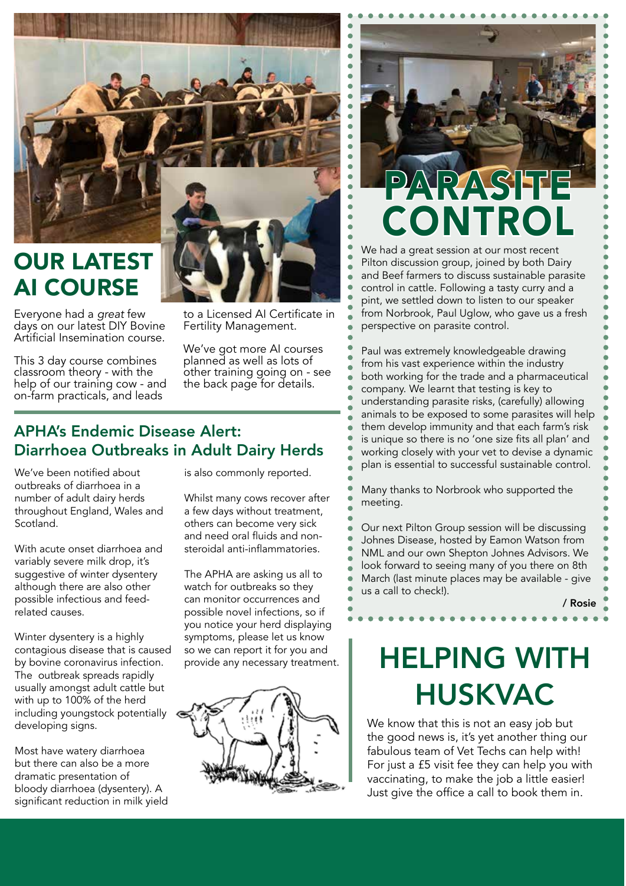

## OUR LATEST AI COURSE

Everyone had a *great* few days on our latest DIY Bovine Artificial Insemination course.

This 3 day course combines classroom theory - with the help of our training cow - and on-farm practicals, and leads

to a Licensed AI Certificate in Fertility Management.

We've got more AI courses planned as well as lots of other training going on - see the back page for details.

## APHA's Endemic Disease Alert: Diarrhoea Outbreaks in Adult Dairy Herds

We've been notified about outbreaks of diarrhoea in a number of adult dairy herds throughout England, Wales and Scotland.

With acute onset diarrhoea and variably severe milk drop, it's suggestive of winter dysentery although there are also other possible infectious and feedrelated causes.

Winter dysentery is a highly contagious disease that is caused by bovine coronavirus infection. The outbreak spreads rapidly usually amongst adult cattle but with up to 100% of the herd including youngstock potentially developing signs.

Most have watery diarrhoea but there can also be a more dramatic presentation of bloody diarrhoea (dysentery). A significant reduction in milk vield is also commonly reported.

Whilst many cows recover after a few days without treatment, others can become very sick and need oral fluids and nonsteroidal anti-inflammatories.

The APHA are asking us all to watch for outbreaks so they can monitor occurrences and possible novel infections, so if you notice your herd displaying symptoms, please let us know so we can report it for you and provide any necessary treatment.



# PARASITE CONTROL

We had a great session at our most recent Pilton discussion group, joined by both Dairy and Beef farmers to discuss sustainable parasite control in cattle. Following a tasty curry and a pint, we settled down to listen to our speaker from Norbrook, Paul Uglow, who gave us a fresh perspective on parasite control.

Paul was extremely knowledgeable drawing from his vast experience within the industry both working for the trade and a pharmaceutical company. We learnt that testing is key to understanding parasite risks, (carefully) allowing animals to be exposed to some parasites will help them develop immunity and that each farm's risk is unique so there is no 'one size fits all plan' and working closely with your vet to devise a dynamic plan is essential to successful sustainable control.

Many thanks to Norbrook who supported the meeting.

Our next Pilton Group session will be discussing Johnes Disease, hosted by Eamon Watson from NML and our own Shepton Johnes Advisors. We look forward to seeing many of you there on 8th March (last minute places may be available - give us a call to check!).

#### / Rosie

## HELPING WITH HUSKVAC

We know that this is not an easy job but the good news is, it's yet another thing our fabulous team of Vet Techs can help with! For just a £5 visit fee they can help you with vaccinating, to make the job a little easier! Just give the office a call to book them in.